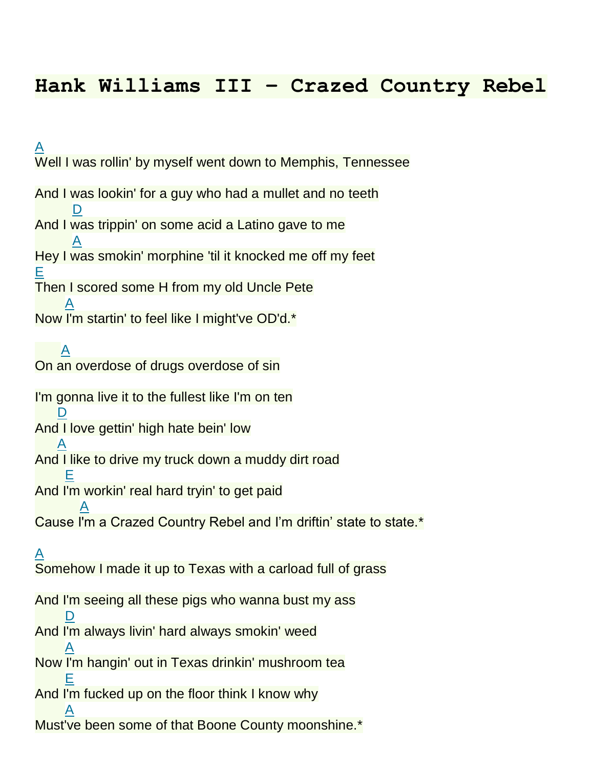## **Hank Williams III – Crazed Country Rebel**

A Well I was rollin' by myself went down to Memphis, Tennessee And I was lookin' for a guy who had a mullet and no teeth **District** And I was trippin' on some acid a Latino gave to me **A** Hey I was smokin' morphine 'til it knocked me off my feet E Then I scored some H from my old Uncle Pete **A** Now I'm startin' to feel like I might've OD'd.\* A On an overdose of drugs overdose of sin I'm gonna live it to the fullest like I'm on ten D And I love gettin' high hate bein' low  $\overline{A}$ And I like to drive my truck down a muddy dirt road E And I'm workin' real hard tryin' to get paid **A** Cause I'm a Crazed Country Rebel and I'm driftin' state to state.\* A Somehow I made it up to Texas with a carload full of grass And I'm seeing all these pigs who wanna bust my ass **D** And I'm always livin' hard always smokin' weed **A** Now I'm hangin' out in Texas drinkin' mushroom tea E And I'm fucked up on the floor think I know why **A** Must've been some of that Boone County moonshine.\*